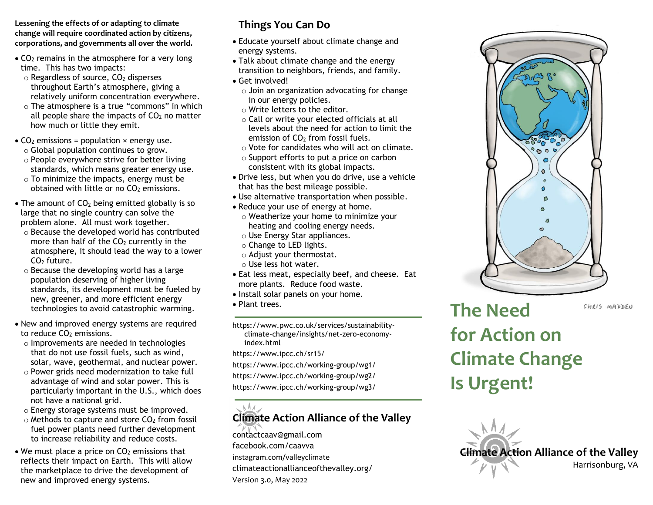**Lessening the effects of or adapting to climate change will require coordinated action by citizens, corporations, and governments all over the world.**

- $\bullet$  CO<sub>2</sub> remains in the atmosphere for a very long time. This has two impacts:
	- $\circ$  Regardless of source,  $CO<sub>2</sub>$  disperses throughout Earth's atmosphere, giving a relatively uniform concentration everywhere.
	- o The atmosphere is a true "commons" in which all people share the impacts of  $CO<sub>2</sub>$  no matter how much or little they emit.
- $CO<sub>2</sub>$  emissions = population  $\times$  energy use.
	- o Global population continues to grow.
	- o People everywhere strive for better living standards, which means greater energy use.
	- o To minimize the impacts, energy must be obtained with little or no  $CO<sub>2</sub>$  emissions.
- The amount of  $CO<sub>2</sub>$  being emitted globally is so large that no single country can solve the problem alone. All must work together.
	- o Because the developed world has contributed more than half of the  $CO<sub>2</sub>$  currently in the atmosphere, it should lead the way to a lower  $CO<sub>2</sub>$  future.
	- o Because the developing world has a large population deserving of higher living standards, its development must be fueled by new, greener, and more efficient energy technologies to avoid catastrophic warming.
- New and improved energy systems are required to reduce CO<sub>2</sub> emissions.
	- o Improvements are needed in technologies that do not use fossil fuels, such as wind, solar, wave, geothermal, and nuclear power.
	- o Power grids need modernization to take full advantage of wind and solar power. This is particularly important in the U.S., which does not have a national grid.
	- o Energy storage systems must be improved.
	- $\circ$  Methods to capture and store CO<sub>2</sub> from fossil fuel power plants need further development to increase reliability and reduce costs.
- $\bullet$  We must place a price on CO<sub>2</sub> emissions that reflects their impact on Earth. This will allow the marketplace to drive the development of new and improved energy systems.

## **Things You Can Do**

- Educate yourself about climate change and energy systems.
- Talk about climate change and the energy transition to neighbors, friends, and family.
- Get involved!
	- o Join an organization advocating for change in our energy policies.
	- o Write letters to the editor.
	- o Call or write your elected officials at all levels about the need for action to limit the emission of  $CO<sub>2</sub>$  from fossil fuels.
	- o Vote for candidates who will act on climate.
	- o Support efforts to put a price on carbon consistent with its global impacts.
- Drive less, but when you do drive, use a vehicle that has the best mileage possible.
- Use alternative transportation when possible.
- Reduce your use of energy at home.
- o Weatherize your home to minimize your heating and cooling energy needs.
- o Use Energy Star appliances.
- o Change to LED lights.
- o Adjust your thermostat.
- o Use less hot water.
- Eat less meat, especially beef, and cheese. Eat more plants. Reduce food waste.
- Install solar panels on your home.
- Plant trees.

https://www.pwc.co.uk/services/sustainabilityclimate-change/insights/net-zero-economyindex.html

https://www.ipcc.ch/sr15/

https://www.ipcc.ch/working-group/wg1/

https://www.ipcc.ch/working-group/wg2/

https://www.ipcc.ch/working-group/wg3/

## $M_{\odot}$ **Climate Action Alliance of the Valley**

[contactcaav@gmail.com](mailto:contactcaav@gmail.com) [facebook.com/caavva](http://www.facebook.com/caavva) instagram.com/valleyclimate [climateactionallianceofthevalley.org/](http://www.climateactionallianceofthevalley.org/) Version 3.0, May 2022



**The Need**  CHRIS MADDEN **for Action on Climate Change Is Urgent!**